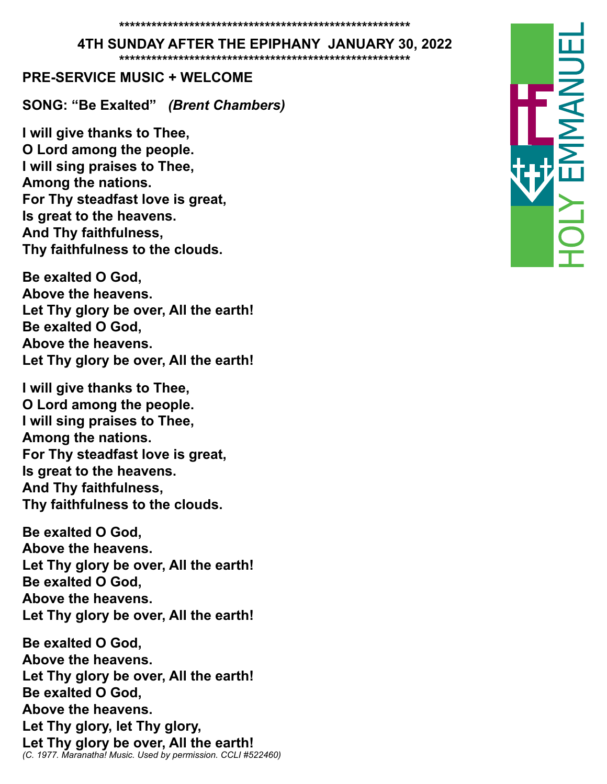#### **4TH SUNDAY AFTER THE EPIPHANY JANUARY 30, 2022**

**\*\*\*\*\*\*\*\*\*\*\*\*\*\*\*\*\*\*\*\*\*\*\*\*\*\*\*\*\*\*\*\*\*\*\*\*\*\*\*\*\*\*\*\*\*\*\*\*\*\*\*\*\*\***

#### **PRE-SERVICE MUSIC + WELCOME**

**SONG: "Be Exalted"** *(Brent Chambers)*

**I will give thanks to Thee, O Lord among the people. I will sing praises to Thee, Among the nations. For Thy steadfast love is great, Is great to the heavens. And Thy faithfulness, Thy faithfulness to the clouds.**

**Be exalted O God, Above the heavens. Let Thy glory be over, All the earth! Be exalted O God, Above the heavens. Let Thy glory be over, All the earth!** 

**I will give thanks to Thee, O Lord among the people. I will sing praises to Thee, Among the nations. For Thy steadfast love is great, Is great to the heavens. And Thy faithfulness, Thy faithfulness to the clouds.**

**Be exalted O God, Above the heavens. Let Thy glory be over, All the earth! Be exalted O God, Above the heavens. Let Thy glory be over, All the earth!** 

**Be exalted O God, Above the heavens. Let Thy glory be over, All the earth! Be exalted O God, Above the heavens. Let Thy glory, let Thy glory, Let Thy glory be over, All the earth!** *(C. 1977. Maranatha! Music. Used by permission. CCLI #522460)*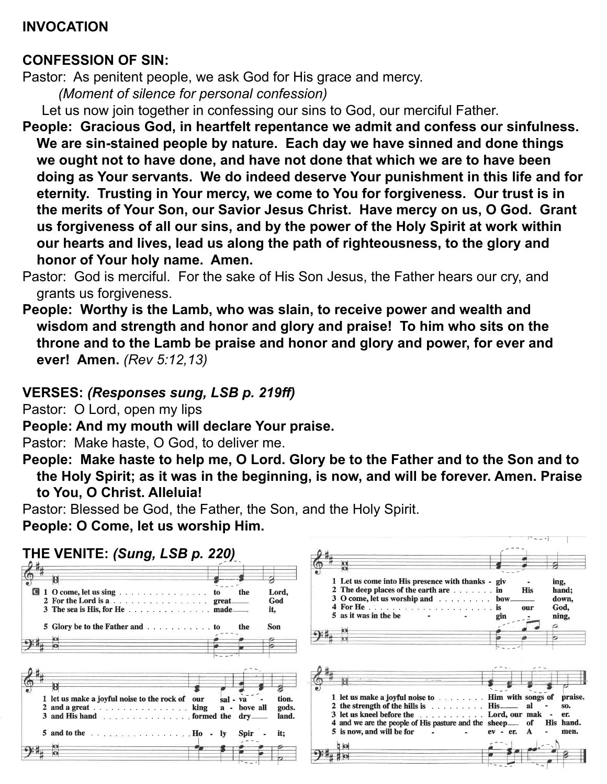### **INVOCATION**

#### **CONFESSION OF SIN:**

Pastor: As penitent people, we ask God for His grace and mercy.

*(Moment of silence for personal confession)*

Let us now join together in confessing our sins to God, our merciful Father.

- **People: Gracious God, in heartfelt repentance we admit and confess our sinfulness. We are sin-stained people by nature. Each day we have sinned and done things we ought not to have done, and have not done that which we are to have been doing as Your servants. We do indeed deserve Your punishment in this life and for eternity. Trusting in Your mercy, we come to You for forgiveness. Our trust is in the merits of Your Son, our Savior Jesus Christ. Have mercy on us, O God. Grant us forgiveness of all our sins, and by the power of the Holy Spirit at work within our hearts and lives, lead us along the path of righteousness, to the glory and honor of Your holy name. Amen.**
- Pastor: God is merciful. For the sake of His Son Jesus, the Father hears our cry, and grants us forgiveness.
- **People: Worthy is the Lamb, who was slain, to receive power and wealth and wisdom and strength and honor and glory and praise! To him who sits on the throne and to the Lamb be praise and honor and glory and power, for ever and ever! Amen.** *(Rev 5:12,13)*

# **VERSES:** *(Responses sung, LSB p. 219ff)*

Pastor: O Lord, open my lips

**People: And my mouth will declare Your praise.** 

Pastor: Make haste, O God, to deliver me.

**People: Make haste to help me, O Lord. Glory be to the Father and to the Son and to the Holy Spirit; as it was in the beginning, is now, and will be forever. Amen. Praise to You, O Christ. Alleluia!**

 $|3 - 2|$ 

Pastor: Blessed be God, the Father, the Son, and the Holy Spirit. **People: O Come, let us worship Him.** 

| THE VENITE: (Sung, LSB p. 220)                                                                                                                                                                                                                                                                                                                                                                     |                                              |                                |                                                                                                                                                                                                                                                                                    |               |                                                              |
|----------------------------------------------------------------------------------------------------------------------------------------------------------------------------------------------------------------------------------------------------------------------------------------------------------------------------------------------------------------------------------------------------|----------------------------------------------|--------------------------------|------------------------------------------------------------------------------------------------------------------------------------------------------------------------------------------------------------------------------------------------------------------------------------|---------------|--------------------------------------------------------------|
| O<br>1 O come, let us sing to<br>3 The sea is His, for He made                                                                                                                                                                                                                                                                                                                                     | the<br>great.<br>the                         | Lord,<br>God<br>it.<br>Son     | 1 Let us come into His presence with thanks - giv<br>2 The deep places of the earth are<br>$3$ O come, let us worship and $\ldots$ bow<br>5 as it was in the be                                                                                                                    | gin           | ing,<br>hand:<br><b>His</b><br>down,<br>God,<br>our<br>ning, |
| 1 let us make a joyful noise to the rock of our<br>2 and a great $\ldots$ $\ldots$ $\ldots$ $\ldots$ $\ldots$ $\ldots$ $\ldots$ $\ldots$ $\ldots$<br>5 and to the $\ldots$ $\ldots$ $\ldots$ $\ldots$ $\ldots$ $\ldots$ $\ldots$ $\ldots$ $\ldots$ $\ldots$ $\ldots$ $\ldots$ $\ldots$ $\ldots$ $\ldots$ $\ldots$ $\ldots$ $\ldots$ $\ldots$ $\ldots$ $\ldots$ $\ldots$ $\ldots$ $\ldots$ $\ldots$ | sal - va<br>bove all<br>$a -$<br><b>Spir</b> | tion.<br>gods.<br>land.<br>it: | 1 let us make a joyful noise to see the set of the set of the senge of<br>2 the strength of the hills is $\dots \dots \dots$ His _______ al<br>3 let us kneel before the  Lord, our mak<br>4 and we are the people of His pasture and the sheep___ of<br>5 is now, and will be for | er.<br>$ev -$ | praise.<br>SO.<br>er.<br>His hand.<br>men.                   |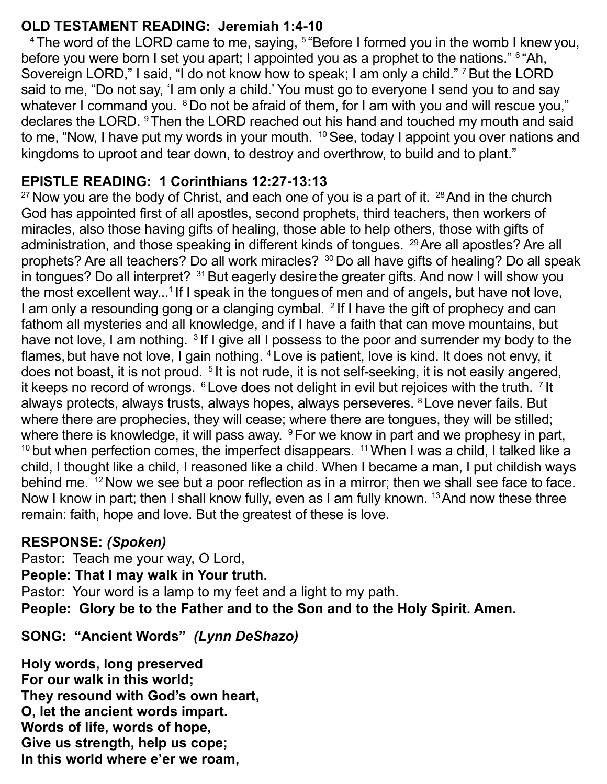# **OLD TESTAMENT READING: Jeremiah 1:4-10**

<sup>4</sup> The word of the LORD came to me, saying,  $5$  "Before I formed you in the womb I knew you, before you were born I set you apart; I appointed you as a prophet to the nations." <sup>6</sup> "Ah, Sovereign LORD," I said, "I do not know how to speak; I am only a child." 7 But the LORD said to me, "Do not say, 'I am only a child.' You must go to everyone I send you to and say whatever I command you. <sup>8</sup> Do not be afraid of them, for I am with you and will rescue you," declares the LORD. 9 Then the LORD reached out his hand and touched my mouth and said to me, "Now, I have put my words in your mouth. <sup>10</sup> See, today I appoint you over nations and kingdoms to uproot and tear down, to destroy and overthrow, to build and to plant."

# **EPISTLE READING: 1 Corinthians 12:27-13:13**

 $27$  Now you are the body of Christ, and each one of you is a part of it.  $28$  And in the church God has appointed first of all apostles, second prophets, third teachers, then workers of miracles, also those having gifts of healing, those able to help others, those with gifts of administration, and those speaking in different kinds of tongues. <sup>29</sup> Are all apostles? Are all prophets? Are all teachers? Do all work miracles? 30 Do all have gifts of healing? Do all speak in tongues? Do all interpret? <sup>31</sup> But eagerly desire the greater gifts. And now I will show you the most excellent way...<sup>1</sup> If I speak in the tongues of men and of angels, but have not love, I am only a resounding gong or a clanging cymbal. <sup>2</sup> If I have the gift of prophecy and can fathom all mysteries and all knowledge, and if I have a faith that can move mountains, but have not love, I am nothing. <sup>3</sup> If I give all I possess to the poor and surrender my body to the flames, but have not love, I gain nothing. 4 Love is patient, love is kind. It does not envy, it does not boast, it is not proud. <sup>5</sup> It is not rude, it is not self-seeking, it is not easily angered, it keeps no record of wrongs.  $6$  Love does not delight in evil but rejoices with the truth.  $7$  It always protects, always trusts, always hopes, always perseveres. 8 Love never fails. But where there are prophecies, they will cease; where there are tongues, they will be stilled; where there is knowledge, it will pass away. <sup>9</sup> For we know in part and we prophesy in part,  $10$  but when perfection comes, the imperfect disappears.  $11$  When I was a child, I talked like a child, I thought like a child, I reasoned like a child. When I became a man, I put childish ways behind me. <sup>12</sup> Now we see but a poor reflection as in a mirror; then we shall see face to face. Now I know in part; then I shall know fully, even as I am fully known. <sup>13</sup> And now these three remain: faith, hope and love. But the greatest of these is love.

## **RESPONSE:** *(Spoken)*

Pastor: Teach me your way, O Lord, **People: That I may walk in Your truth.**  Pastor: Your word is a lamp to my feet and a light to my path. **People: Glory be to the Father and to the Son and to the Holy Spirit. Amen.**

# **SONG: "Ancient Words"** *(Lynn DeShazo)*

**Holy words, long preserved For our walk in this world; They resound with God's own heart, O, let the ancient words impart. Words of life, words of hope, Give us strength, help us cope; In this world where e'er we roam,**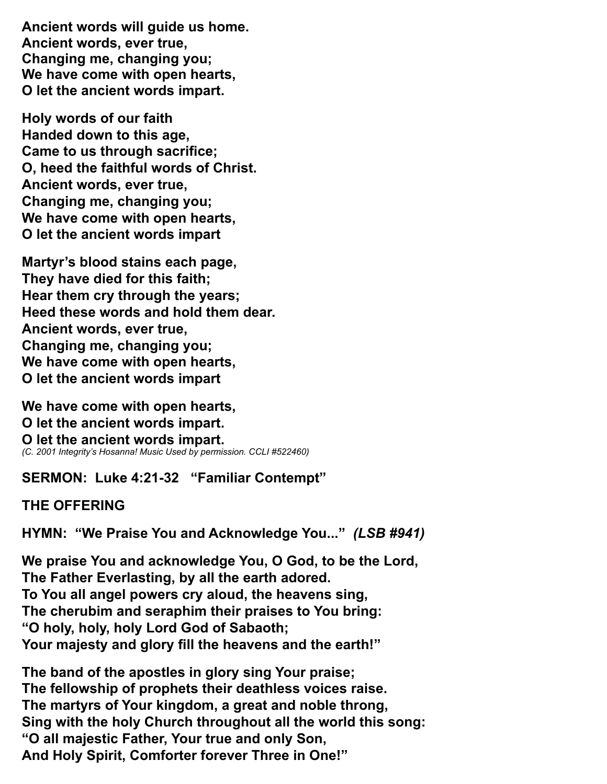**Ancient words will guide us home. Ancient words, ever true, Changing me, changing you; We have come with open hearts, O let the ancient words impart.**

**Holy words of our faith Handed down to this age, Came to us through sacrifice; O, heed the faithful words of Christ. Ancient words, ever true, Changing me, changing you; We have come with open hearts, O let the ancient words impart**

**Martyr's blood stains each page, They have died for this faith; Hear them cry through the years; Heed these words and hold them dear. Ancient words, ever true, Changing me, changing you; We have come with open hearts, O let the ancient words impart**

**We have come with open hearts, O let the ancient words impart. O let the ancient words impart.** *(C. 2001 Integrity's Hosanna! Music Used by permission. CCLI #522460)*

**SERMON: Luke 4:21-32 "Familiar Contempt"**

**THE OFFERING** 

**HYMN: "We Praise You and Acknowledge You..."** *(LSB #941)*

**We praise You and acknowledge You, O God, to be the Lord, The Father Everlasting, by all the earth adored. To You all angel powers cry aloud, the heavens sing, The cherubim and seraphim their praises to You bring: "O holy, holy, holy Lord God of Sabaoth; Your majesty and glory fill the heavens and the earth!"**

**The band of the apostles in glory sing Your praise; The fellowship of prophets their deathless voices raise. The martyrs of Your kingdom, a great and noble throng, Sing with the holy Church throughout all the world this song: "O all majestic Father, Your true and only Son, And Holy Spirit, Comforter forever Three in One!"**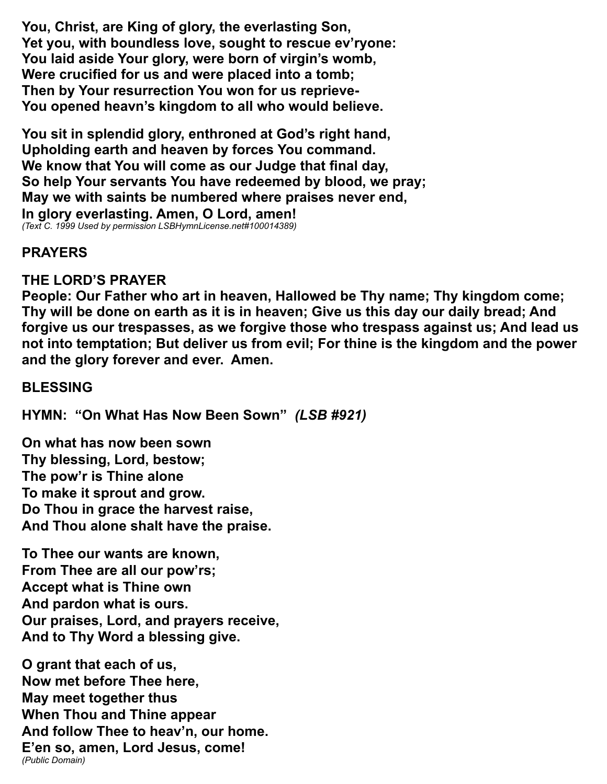**You, Christ, are King of glory, the everlasting Son, Yet you, with boundless love, sought to rescue ev'ryone: You laid aside Your glory, were born of virgin's womb, Were crucified for us and were placed into a tomb; Then by Your resurrection You won for us reprieve-You opened heavn's kingdom to all who would believe.**

**You sit in splendid glory, enthroned at God's right hand, Upholding earth and heaven by forces You command. We know that You will come as our Judge that final day, So help Your servants You have redeemed by blood, we pray; May we with saints be numbered where praises never end, In glory everlasting. Amen, O Lord, amen!** *(Text C. 1999 Used by permission LSBHymnLicense.net#100014389)*

# **PRAYERS**

# **THE LORD'S PRAYER**

**People: Our Father who art in heaven, Hallowed be Thy name; Thy kingdom come; Thy will be done on earth as it is in heaven; Give us this day our daily bread; And forgive us our trespasses, as we forgive those who trespass against us; And lead us not into temptation; But deliver us from evil; For thine is the kingdom and the power and the glory forever and ever. Amen.** 

# **BLESSING**

**HYMN: "On What Has Now Been Sown"** *(LSB #921)*

**On what has now been sown Thy blessing, Lord, bestow; The pow'r is Thine alone To make it sprout and grow. Do Thou in grace the harvest raise, And Thou alone shalt have the praise.** 

**To Thee our wants are known, From Thee are all our pow'rs; Accept what is Thine own And pardon what is ours. Our praises, Lord, and prayers receive, And to Thy Word a blessing give.** 

**O grant that each of us, Now met before Thee here, May meet together thus When Thou and Thine appear And follow Thee to heav'n, our home. E'en so, amen, Lord Jesus, come!** *(Public Domain)*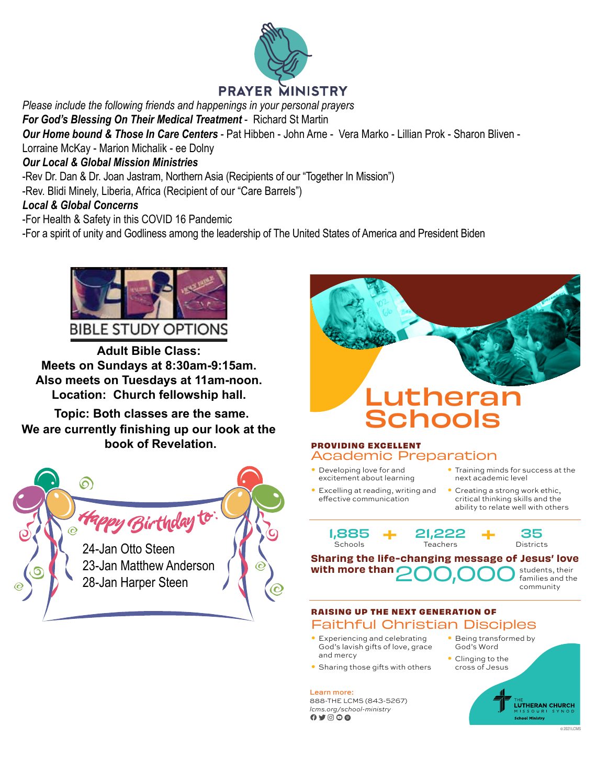

# **PRAYER MINISTRY**

*Please include the following friends and happenings in your personal prayers*

*For God's Blessing On Their Medical Treatment* - Richard St Martin

*Our Home bound & Those In Care Centers* - Pat Hibben - John Arne - Vera Marko - Lillian Prok - Sharon Bliven -

Lorraine McKay - Marion Michalik - ee Dolny

#### *Our Local & Global Mission Ministries*

-Rev Dr. Dan & Dr. Joan Jastram, Northern Asia (Recipients of our "Together In Mission")

-Rev. Blidi Minely, Liberia, Africa (Recipient of our "Care Barrels")

#### *Local & Global Concerns*

-For Health & Safety in this COVID 16 Pandemic

-For a spirit of unity and Godliness among the leadership of The United States of America and President Biden



**Adult Bible Class: Meets on Sundays at 8:30am-9:15am. Meets on Sundays at 8:30am-9:15am. Also meets on Tuesdays at 11am-noon. Also meets on Tuesdays at 11am-noon. Location: Church fellowship hall. Adult Bible Class: Adult Bible Class:** w meets on Tuesuays at Train-noom.<br>Leastberg Okensk fallengelig hall **Adults** Class: **Meets on Sundays at 8:30am-9:15am.** 

Topic: Both classes are the same. We are currently finishing up our look at the  $\Box$ **book of Revelation.**





#### **PROVIDING EXCELLENT**

- Academic Preparation • Developing love for and
- excitement about learning • Excelling at reading, writing and effective communication
- Training minds for success at the next academic level
	- Creating a strong work ethic, critical thinking skills and the ability to relate well with others

1,885 **Schools** 



21,222 **Teachers** 



#### Sharing the life-changing message of Jesus' love with more than students, their 200,000 students, their

families and the community

- **Definition** and celebrating<br>God's lavish gifts of love, grace • Experiencing and celebrating and mercy
- **•** Sharing those gifts with others

**Dec 15th, 6:30pm. Advent Service.**  Learn more:

**Advent Service Theme: "What Do Angels Do?" Example 20 Example 20 C**  $\bullet$  **C**  $\bullet$  **C**  $\bullet$  **C**  $\bullet$  **p Advent Service Theme: "What Do Angels Do?"** 888-THE LCMS (843-5267) **Advent Service Theme: "What Do Angels Do?"** *lcms.org/school-ministry* **AAQO6** 

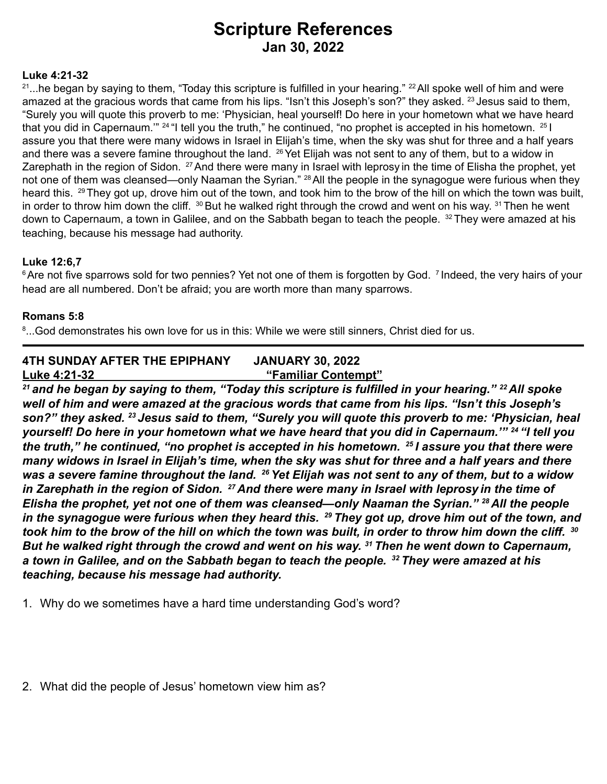# **Scripture References Jan 30, 2022**

#### **Luke 4:21-32**

 $21...$ he began by saying to them, "Today this scripture is fulfilled in your hearing."  $22$  All spoke well of him and were amazed at the gracious words that came from his lips. "Isn't this Joseph's son?" they asked. <sup>23</sup> Jesus said to them, "Surely you will quote this proverb to me: 'Physician, heal yourself! Do here in your hometown what we have heard that you did in Capernaum."<sup>24</sup> "I tell you the truth," he continued, "no prophet is accepted in his hometown. <sup>25</sup> I assure you that there were many widows in Israel in Elijah's time, when the sky was shut for three and a half years and there was a severe famine throughout the land. <sup>26</sup> Yet Elijah was not sent to any of them, but to a widow in Zarephath in the region of Sidon. <sup>27</sup> And there were many in Israel with leprosy in the time of Elisha the prophet, yet not one of them was cleansed—only Naaman the Syrian." <sup>28</sup> All the people in the synagogue were furious when they heard this. <sup>29</sup> They got up, drove him out of the town, and took him to the brow of the hill on which the town was built, in order to throw him down the cliff.  $30$  But he walked right through the crowd and went on his way.  $31$  Then he went down to Capernaum, a town in Galilee, and on the Sabbath began to teach the people. <sup>32</sup> They were amazed at his teaching, because his message had authority.

#### **Luke 12:6,7**

<sup>6</sup> Are not five sparrows sold for two pennies? Yet not one of them is forgotten by God. <sup>7</sup> Indeed, the very hairs of your head are all numbered. Don't be afraid; you are worth more than many sparrows.

#### **Romans 5:8**

 $^{\rm 8}...$ God demonstrates his own love for us in this: While we were still sinners, Christ died for us.

#### **4TH SUNDAY AFTER THE EPIPHANY JANUARY 30, 2022 Luke 4:21-32 "Familiar Contempt"**

*<sup>21</sup>and he began by saying to them, "Today this scripture is fulfilled in your hearing." 22 All spoke well of him and were amazed at the gracious words that came from his lips. "Isn't this Joseph's son?" they asked. 23 Jesus said to them, "Surely you will quote this proverb to me: 'Physician, heal yourself! Do here in your hometown what we have heard that you did in Capernaum.'" 24 "I tell you the truth," he continued, "no prophet is accepted in his hometown. 25 I assure you that there were many widows in Israel in Elijah's time, when the sky was shut for three and a half years and there was a severe famine throughout the land. 26 Yet Elijah was not sent to any of them, but to a widow in Zarephath in the region of Sidon. 27 And there were many in Israel with leprosy in the time of Elisha the prophet, yet not one of them was cleansed—only Naaman the Syrian." 28 All the people in the synagogue were furious when they heard this. 29 They got up, drove him out of the town, and took him to the brow of the hill on which the town was built, in order to throw him down the cliff. <sup>30</sup> But he walked right through the crowd and went on his way. 31 Then he went down to Capernaum, a town in Galilee, and on the Sabbath began to teach the people. 32 They were amazed at his teaching, because his message had authority.*

1. Why do we sometimes have a hard time understanding God's word?

2. What did the people of Jesus' hometown view him as?